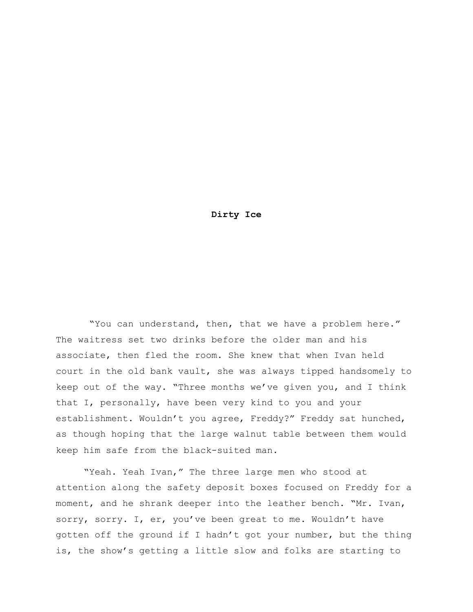**Dirty Ice**

"You can understand, then, that we have a problem here." The waitress set two drinks before the older man and his associate, then fled the room. She knew that when Ivan held court in the old bank vault, she was always tipped handsomely to keep out of the way. "Three months we've given you, and I think that I, personally, have been very kind to you and your establishment. Wouldn't you agree, Freddy?" Freddy sat hunched, as though hoping that the large walnut table between them would keep him safe from the black-suited man.

"Yeah. Yeah Ivan," The three large men who stood at attention along the safety deposit boxes focused on Freddy for a moment, and he shrank deeper into the leather bench. "Mr. Ivan, sorry, sorry. I, er, you've been great to me. Wouldn't have gotten off the ground if I hadn't got your number, but the thing is, the show's getting a little slow and folks are starting to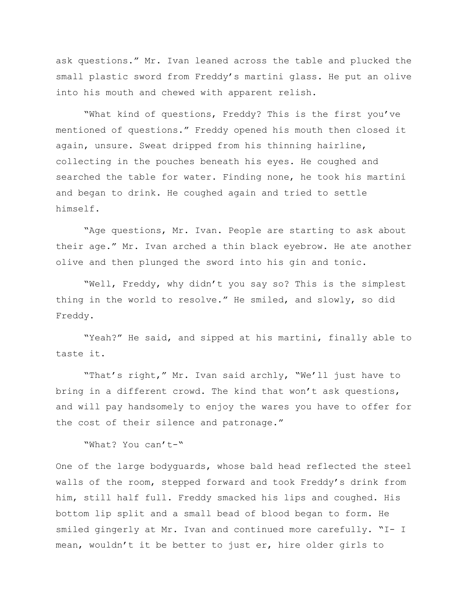ask questions." Mr. Ivan leaned across the table and plucked the small plastic sword from Freddy's martini glass. He put an olive into his mouth and chewed with apparent relish.

"What kind of questions, Freddy? This is the first you've mentioned of questions." Freddy opened his mouth then closed it again, unsure. Sweat dripped from his thinning hairline, collecting in the pouches beneath his eyes. He coughed and searched the table for water. Finding none, he took his martini and began to drink. He coughed again and tried to settle himself.

"Age questions, Mr. Ivan. People are starting to ask about their age." Mr. Ivan arched a thin black eyebrow. He ate another olive and then plunged the sword into his gin and tonic.

"Well, Freddy, why didn't you say so? This is the simplest thing in the world to resolve." He smiled, and slowly, so did Freddy.

"Yeah?" He said, and sipped at his martini, finally able to taste it.

"That's right," Mr. Ivan said archly, "We'll just have to bring in a different crowd. The kind that won't ask questions, and will pay handsomely to enjoy the wares you have to offer for the cost of their silence and patronage."

"What? You can't-"

One of the large bodyguards, whose bald head reflected the steel walls of the room, stepped forward and took Freddy's drink from him, still half full. Freddy smacked his lips and coughed. His bottom lip split and a small bead of blood began to form. He smiled gingerly at Mr. Ivan and continued more carefully. "I- I mean, wouldn't it be better to just er, hire older girls to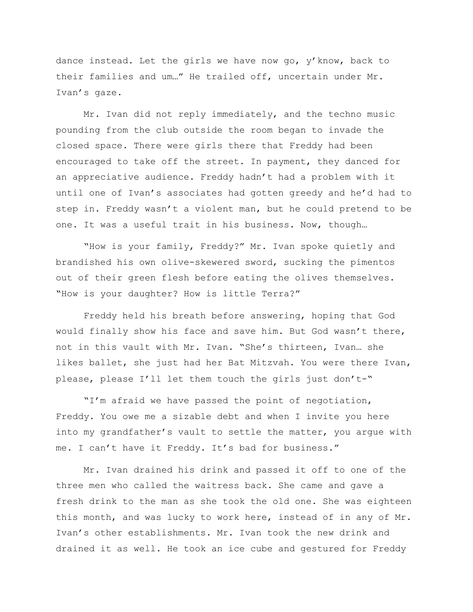dance instead. Let the girls we have now go, y'know, back to their families and um…" He trailed off, uncertain under Mr. Ivan's gaze.

Mr. Ivan did not reply immediately, and the techno music pounding from the club outside the room began to invade the closed space. There were girls there that Freddy had been encouraged to take off the street. In payment, they danced for an appreciative audience. Freddy hadn't had a problem with it until one of Ivan's associates had gotten greedy and he'd had to step in. Freddy wasn't a violent man, but he could pretend to be one. It was a useful trait in his business. Now, though…

"How is your family, Freddy?" Mr. Ivan spoke quietly and brandished his own olive-skewered sword, sucking the pimentos out of their green flesh before eating the olives themselves. "How is your daughter? How is little Terra?"

Freddy held his breath before answering, hoping that God would finally show his face and save him. But God wasn't there, not in this vault with Mr. Ivan. "She's thirteen, Ivan… she likes ballet, she just had her Bat Mitzvah. You were there Ivan, please, please I'll let them touch the girls just don't-"

"I'm afraid we have passed the point of negotiation, Freddy. You owe me a sizable debt and when I invite you here into my grandfather's vault to settle the matter, you argue with me. I can't have it Freddy. It's bad for business."

Mr. Ivan drained his drink and passed it off to one of the three men who called the waitress back. She came and gave a fresh drink to the man as she took the old one. She was eighteen this month, and was lucky to work here, instead of in any of Mr. Ivan's other establishments. Mr. Ivan took the new drink and drained it as well. He took an ice cube and gestured for Freddy